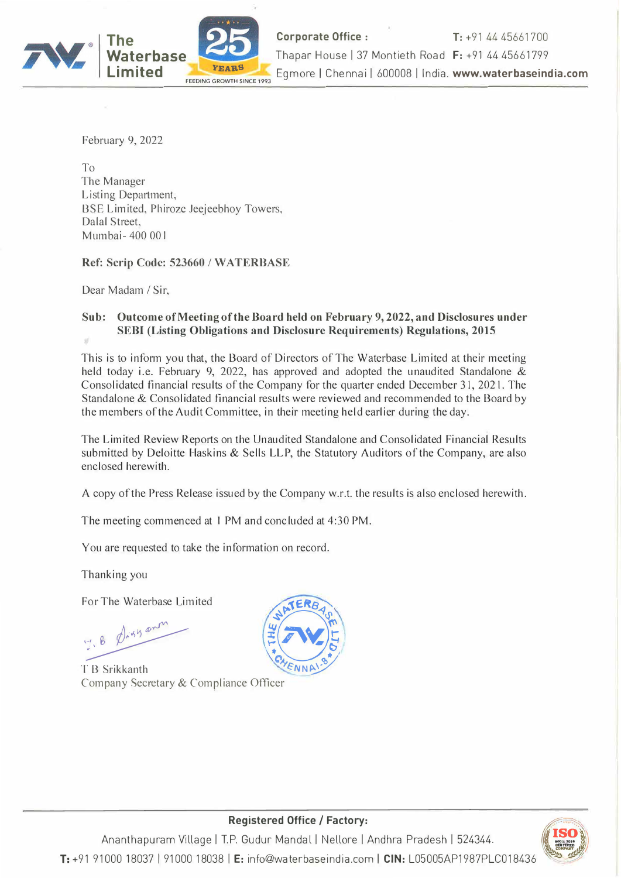

February 9, 2022

To The Manager Listing Department, BSE Limited, Phirozc Jeejeebhoy Towers, Dalal Street, Mumbai- 400 00 I

**Ref: Scrip Code: 523660** *I* **WA TERBASE** 

Dear Madam *I* Sir,

### **Sub: Outcome of Meeting of the Board held on February 9, 2022, and Disclosures under SEBI (Listing Obligations and Disclosure Requirements) Regulations, 2015**

This is to inform you that, the Board of Directors of The Waterbase Limited at their meeting held today i.e. February 9, 2022, has approved and adopted the unaudited Standalone & Consolidated financial results of the Company for the quarter ended December 31, 2021. The Standalone & Consolidated financial results were reviewed and recommended to the Board by the members of the Audit Committee, in their meeting held earlier during the day.

The Limited Review Reports on the Unaudited Standalone and Consolidated Financial Results submitted by Deloitte Haskins & Sells LLP, the Statutory Auditors of the Company, are also enclosed herewith.

A copy of the Press Release issued by the Company w.r.t. the results is also enclosed herewith.

The meeting commenced at I PM and concluded at 4:30 PM.

You are requested to take the information on record.

Thanking you

For The Waterbase Limited

5. B Digy and

T B Srikkanth Company Secretary & Compliance Officer





**Registered Office / Factory:**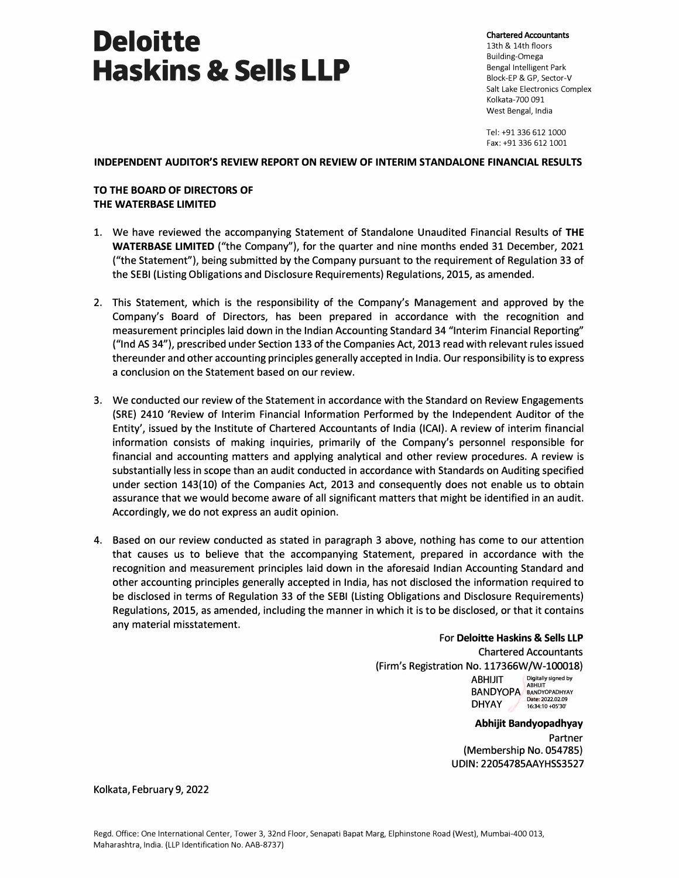# **Deloitte Haskins & Sells LLP**

**Chartered Accountants**  13th & 14th floors Building-Omega Bengal Intelligent Park Block-EP & GP, Sector-V Salt Lake Electronics Complex Kolkata-700 091 West Bengal, India

Tel: +91 336 612 1000 Fax: +91 336 612 1001

**INDEPENDENT AUDITOR'S REVIEW REPORT ON REVIEW OF INTERIM STANDALONE FINANCIAL RESULTS** 

#### **TO THE BOARD OF DIRECTORS OF THE WATERBASE LIMITED**

- 1. We have reviewed the accompanying Statement of Standalone Unaudited Financial Results of **THE WATERBASE LIMITED** ("the Company"), for the quarter and nine months ended 31 December, 2021 ("the Statement"), being submitted by the Company pursuant to the requirement of Regulation 33 of the SEBI (Listing Obligations and Disclosure Requirements) Regulations, 2015, as amended.
- 2. This Statement, which is the responsibility of the Company's Management and approved by the Company's Board of Directors, has been prepared in accordance with the recognition and measurement principles laid down in the Indian Accounting Standard 34 "Interim Financial Reporting" ("Ind AS 34"), prescribed under Section 133 of the Companies Act, 2013 read with relevant rules issued thereunder and other accounting principles generally accepted in India. Our responsibility is to express a conclusion on the Statement based on our review.
- 3. We conducted our review of the Statement in accordance with the Standard on Review Engagements (SRE) 2410 'Review of Interim Financial Information Performed by the Independent Auditor of the Entity', issued by the Institute of Chartered Accountants of India (ICAI). A review of interim financial information consists of making inquiries, primarily of the Company's personnel responsible for financial and accounting matters and applying analytical and other review procedures. A review is substantially less in scope than an audit conducted in accordance with Standards on Auditing specified under section 143(10) of the Companies Act, 2013 and consequently does not enable us to obtain assurance that we would become aware of all significant matters that might be identified in an audit. Accordingly, we do not express an audit opinion.
- 4. Based on our review conducted as stated in paragraph 3 above, nothing has come to our attention that causes us to believe that the accompanying Statement, prepared in accordance with the recognition and measurement principles laid down in the aforesaid Indian Accounting Standard and other accounting principles generally accepted in India, has not disclosed the information required to be disclosed in terms of Regulation 33 of the SEBI (Listing Obligations and Disclosure Requirements) Regulations, 2015, as amended, including the manner in which it is to be disclosed, or that it contains any material misstatement.

#### For **Deloitte Haskins** & **Sells LLP**

Chartered Accountants (Firm's Registration No.117366W/W-100018) **ABHIJIT** *Digitally signed by*<br>**ABHIJIT** BANDYOPA BANDYOPADHYAY DHYAY Date: 2022.02.09

> **Abhijit Bandyopadhyay**  Partner (Membership No. 054785) UDIN: 22054785AAYHSS3527

Kolkata, February 9, 2022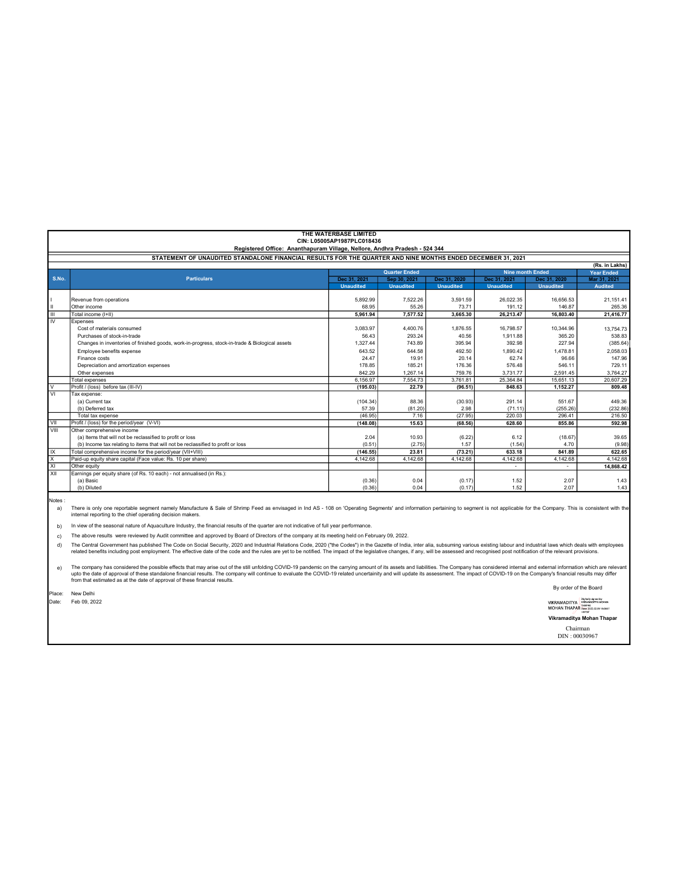| THE WATERBASE LIMITED                                                                                       |                                                                                                |                                  |                                  |                                  |                                  |                                  |                                |
|-------------------------------------------------------------------------------------------------------------|------------------------------------------------------------------------------------------------|----------------------------------|----------------------------------|----------------------------------|----------------------------------|----------------------------------|--------------------------------|
| CIN: L05005AP1987PLC018436                                                                                  |                                                                                                |                                  |                                  |                                  |                                  |                                  |                                |
| Registered Office: Ananthapuram Village, Nellore, Andhra Pradesh - 524 344                                  |                                                                                                |                                  |                                  |                                  |                                  |                                  |                                |
| STATEMENT OF UNAUDITED STANDALONE FINANCIAL RESULTS FOR THE QUARTER AND NINE MONTHS ENDED DECEMBER 31, 2021 |                                                                                                |                                  |                                  |                                  |                                  |                                  |                                |
|                                                                                                             | (Rs. in Lakhs)                                                                                 |                                  |                                  |                                  |                                  |                                  |                                |
| S.No.                                                                                                       | <b>Particulars</b>                                                                             |                                  | <b>Quarter Ended</b>             |                                  | <b>Nine month Ended</b>          |                                  | <b>Year Ended</b>              |
|                                                                                                             |                                                                                                | Dec 31, 2021<br><b>Unaudited</b> | Sep 30, 2021<br><b>Unaudited</b> | Dec 31, 2020<br><b>Unaudited</b> | Dec 31, 2021<br><b>Unaudited</b> | Dec 31, 2020<br><b>Unaudited</b> | Mar 31, 2021<br><b>Audited</b> |
|                                                                                                             |                                                                                                |                                  |                                  |                                  |                                  |                                  |                                |
|                                                                                                             | Revenue from operations                                                                        | 5.892.99                         | 7,522.26                         | 3,591.59                         | 26.022.35                        | 16.656.53                        | 21,151.41                      |
|                                                                                                             | Other income                                                                                   | 68.95                            | 55.26                            | 73.71                            | 191.12                           | 146.87                           | 265.36                         |
| Ш                                                                                                           | Total income (I+II)                                                                            | 5.961.94                         | 7.577.52                         | 3.665.30                         | 26.213.47                        | 16.803.40                        | 21.416.77                      |
| ΙV                                                                                                          | Expenses                                                                                       |                                  |                                  |                                  |                                  |                                  |                                |
|                                                                                                             | Cost of materials consumed                                                                     | 3.083.97                         | 4,400.76                         | 1,876.55                         | 16.798.57                        | 10.344.96                        | 13,754.73                      |
|                                                                                                             | Purchases of stock-in-trade                                                                    | 56.43                            | 293.24                           | 40.56                            | 1.911.88                         | 365.20                           | 538.83                         |
|                                                                                                             | Changes in inventories of finished goods, work-in-progress, stock-in-trade & Biological assets | 1,327.44                         | 743.89                           | 395.94                           | 392.98                           | 227.94                           | (385.64)                       |
|                                                                                                             | Employee benefits expense                                                                      | 643.52                           | 644.58                           | 492.50                           | 1.890.42                         | 1.478.81                         | 2,058.03                       |
|                                                                                                             | Finance costs                                                                                  | 24.47                            | 19.91                            | 20.14                            | 62.74                            | 96.66                            | 147.96                         |
|                                                                                                             | Depreciation and amortization expenses                                                         | 178.85                           | 185.21                           | 176.36                           | 576.48                           | 546.11                           | 729.11                         |
|                                                                                                             | Other expenses                                                                                 | 842.29                           | 1.267.14                         | 759.76                           | 3.731.77                         | 2.591.45                         | 3,764.27                       |
|                                                                                                             | Total expenses                                                                                 | 6,156.97                         | 7,554.73                         | 3,761.81                         | 25,364.84                        | 15,651.13                        | 20,607.29                      |
| V                                                                                                           | Profit / (loss) before tax (III-IV)                                                            | (195.03)                         | 22.79                            | (96.51)                          | 848.63                           | 1,152.27                         | 809.48                         |
| $\overline{M}$                                                                                              | Tax expense:                                                                                   |                                  |                                  |                                  |                                  |                                  |                                |
|                                                                                                             | (a) Current tax                                                                                | (104.34)                         | 88.36                            | (30.93)                          | 291.14                           | 551.67                           | 449.36                         |
|                                                                                                             | (b) Deferred tax                                                                               | 57.39                            | (81.20)                          | 2.98                             | (71.11)                          | (255.26)                         | (232.86)                       |
|                                                                                                             | Total tax expense                                                                              | (46.95)                          | 7.16                             | (27.95)                          | 220.03                           | 296.41                           | 216.50                         |
| VII                                                                                                         | Profit / (loss) for the period/year (V-VI)                                                     | (148.08)                         | 15.63                            | (68.56)                          | 628.60                           | 855.86                           | 592.98                         |
| VIII                                                                                                        | Other comprehensive income                                                                     |                                  |                                  |                                  |                                  |                                  |                                |
|                                                                                                             | (a) Items that will not be reclassified to profit or loss                                      | 2.04                             | 10.93                            | (6.22)                           | 6.12                             | (18.67)                          | 39.65                          |
|                                                                                                             | (b) Income tax relating to items that will not be reclassified to profit or loss               | (0.51)                           | (2.75)                           | 1.57                             | (1.54)                           | 4.70                             | (9.98)                         |
| $\overline{1}$                                                                                              | Total comprehensive income for the period/vear (VII+VIII)                                      | (146.55)                         | 23.81                            | (73.21)                          | 633.18                           | 841.89                           | 622.65                         |
| X                                                                                                           | Paid-up equity share capital (Face value: Rs. 10 per share)                                    | 4.142.68                         | 4.142.68                         | 4.142.68                         | 4,142.68                         | 4,142.68                         | 4,142.68                       |
| $\overline{x}$<br>XII                                                                                       | Other equity<br>Earnings per equity share (of Rs. 10 each) - not annualised (in Rs.):          |                                  |                                  |                                  |                                  |                                  | 14.868.42                      |
|                                                                                                             |                                                                                                |                                  |                                  |                                  |                                  |                                  | 1.43                           |
|                                                                                                             | (a) Basic                                                                                      | (0.36)<br>(0.36)                 | 0.04<br>0.04                     | (0.17)<br>(0.17)                 | 1.52<br>1.52                     | 2.07<br>2.07                     | 1.43                           |
|                                                                                                             | (b) Diluted                                                                                    |                                  |                                  |                                  |                                  |                                  |                                |

Notes :

a) There is only one reportable segment namely Manufacture & Sale of Shrimp Feed as envisaged in Ind AS - 108 on 'Operating Segments' and information pertaining to segment is not applicable for the Company. This is consistent

b) In view of the seasonal nature of Aquaculture Industry, the financial results of the quarter are not indicative of full year performance.

c) The above results were reviewed by Audit committee and approved by Board of Directors of the company at its meeting held on February 09, 2022.

d) The Central Government has published The Code on Social Security, 2020 and Industrial Relations Code, 2020 ("the Code and Industrial and Industrial a substrament hands the and industrial assuming various existing labou

e) The company has considered the possible effects that may arise out of the still unfolding COVID-19 pandemic on the carrying amount of its assets and liabilities. The Company has considered internal and external information

By order of the Board

Place: New Delhi<br>Date: Feb 09.20 Feb 09, 2022

**VIKRAMADITYA**<br>MIKRAMADITYA VIKRAMADITYA MOHAN<br>MOHAN THAPAR DIRE 2022.02.09 16:00:01

 Vikramaditya Mohan Thapar Chairman

DIN : 00030967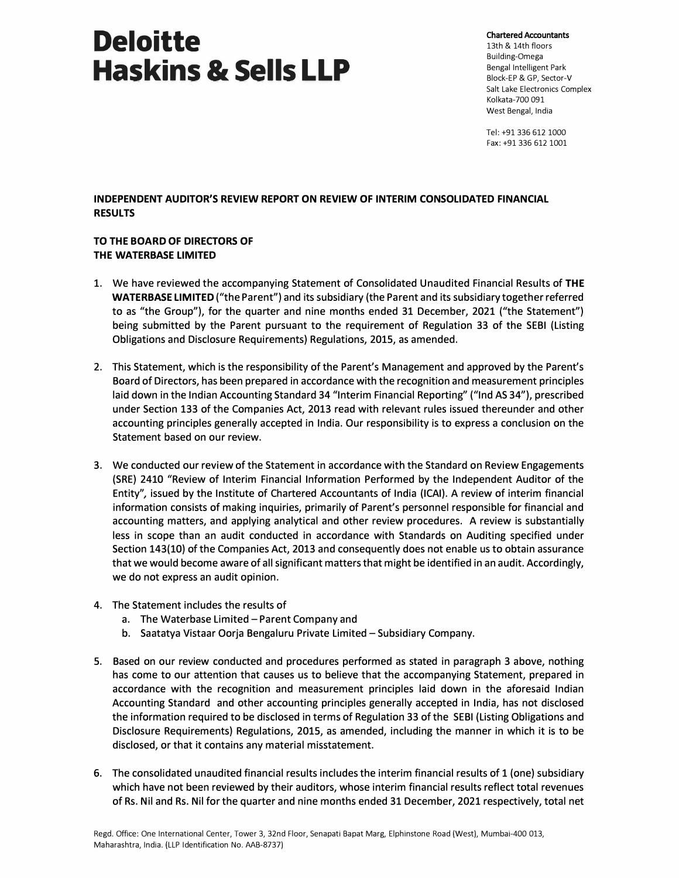# **Deloitte Haskins & Sells LLP**

**Chartered Accountants**  13th & 14th floors Building-Omega Bengal Intelligent Park Block-EP & GP, Sector-V Salt Lake Electronics Complex Kolkata-700 091 West Bengal, India

Tel: +91 336 612 1000 Fax: +91 336 612 1001

### **INDEPENDENT AUDITOR'S REVIEW REPORT ON REVIEW OF INTERIM CONSOLIDATED FINANCIAL RESULTS**

#### **TO THE BOARD OF DIRECTORS OF THE WATERBASE LIMITED**

- 1. We have reviewed the accompanying Statement of Consolidated Unaudited Financial Results of **THE WATERBASE LIMITED** ("the Parent") and its subsidiary (the Parent and its subsidiary together referred to as "the Group"), for the quarter and nine months ended 31 December, 2021 ("the Statement") being submitted by the Parent pursuant to the requirement of Regulation 33 of the SEBI (Listing Obligations and Disclosure Requirements) Regulations, 2015, as amended.
- 2. This Statement, which is the responsibility of the Parent's Management and approved by the Parent's Board of Directors, has been prepared in accordance with the recognition and measurement principles laid down in the Indian Accounting Standard 34 "Interim Financial Reporting" ("Ind AS 34"), prescribed under Section 133 of the Companies Act, 2013 read with relevant rules issued thereunder and other accounting principles generally accepted in India. Our responsibility is to express a conclusion on the Statement based on our review.
- 3. We conducted our review of the Statement in accordance with the Standard on Review Engagements (SRE) 2410 "Review of Interim Financial Information Performed by the Independent Auditor of the Entity", issued by the Institute of Chartered Accountants of India (ICAI). A review of interim financial information consists of making inquiries, primarily of Parent's personnel responsible for financial and accounting matters, and applying analytical and other review procedures. A review is substantially less in scope than an audit conducted in accordance with Standards on Auditing specified under Section 143(10) of the Companies Act, 2013 and consequently does not enable us to obtain assurance that we would become aware of all significant matters that might be identified in an audit. Accordingly, we do not express an audit opinion.
- 4. The Statement includes the results of
	- a. The Waterbase Limited Parent Company and
	- b. Saatatya Vistaar Oorja Bengaluru Private Limited Subsidiary Company.
- 5. Based on our review conducted and procedures performed as stated in paragraph 3 above, nothing has come to our attention that causes us to believe that the accompanying Statement, prepared in accordance with the recognition and measurement principles laid down in the aforesaid Indian Accounting Standard and other accounting principles generally accepted in India, has not disclosed the information required to be disclosed in terms of Regulation 33 of the SEBI (Listing Obligations and Disclosure Requirements) Regulations, 2015, as amended, including the manner in which it is to be disclosed, or that it contains any material misstatement.
- 6. The consolidated unaudited financial results includes the interim financial results of 1 (one) subsidiary which have not been reviewed by their auditors, whose interim financial results reflect total revenues of Rs. Nil and Rs. Nil for the quarter and nine months ended 31 December, 2021 respectively, total net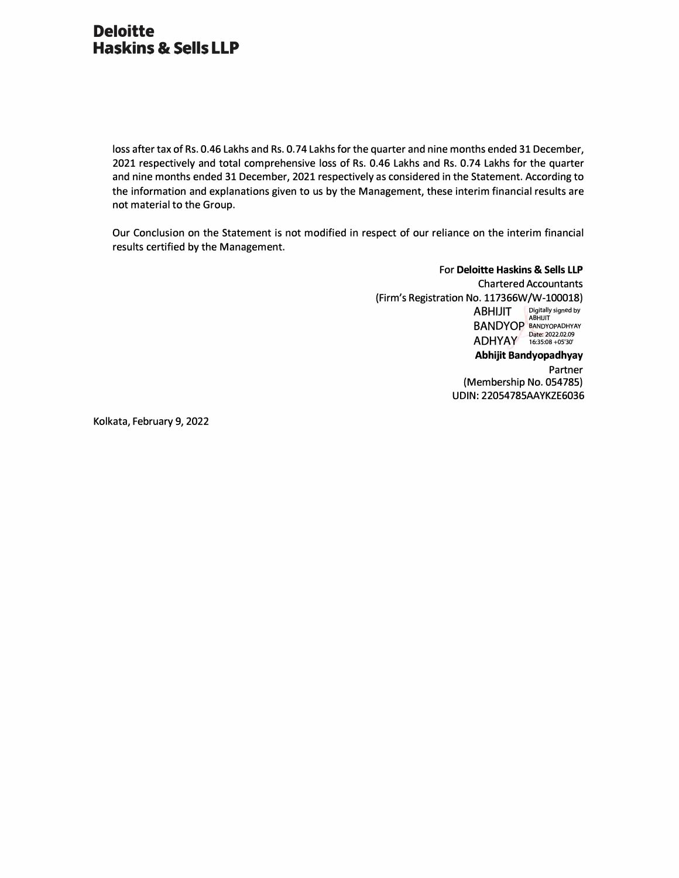## **Deloitte Haskins & Sells LLP**

loss after tax of Rs. 0.46 Lakhs and Rs. 0. 74 Lakhs for the quarter and nine months ended 31 December, 2021 respectively and total comprehensive loss of Rs. 0.46 Lakhs and Rs. 0.74 Lakhs for the quarter and nine months ended 31 December, 2021 respectively as considered in the Statement. According to the information and explanations given to us by the Management, these interim financial results are not material to the Group.

Our Conclusion on the Statement is not modified in respect of our reliance on the interim financial results certified by the Management.

> For **Deloitte Haskins** & **Sells LLP**  Chartered Accountants (Firm's Registration No. 117366W/W-100018)<br>ARHIJIT Digitally signed by ABHIJIT Digitally signed by ADHYAY Date: 2022.02.09 **Abhijit Bandyopadhyay**  Partner

(Membership No. 054785) UDIN: 22054785AAYKZE6036

Kolkata, February 9, 2022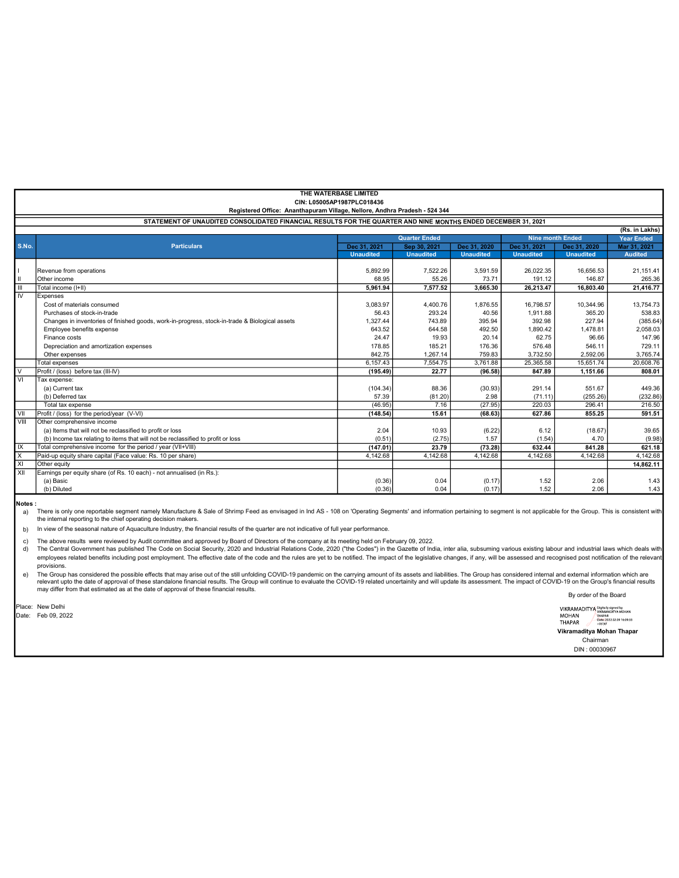| THE WATERBASE LIMITED                                                                                         |                                                                                                |                  |                  |                  |                  |                  |                   |
|---------------------------------------------------------------------------------------------------------------|------------------------------------------------------------------------------------------------|------------------|------------------|------------------|------------------|------------------|-------------------|
| CIN: L05005AP1987PLC018436                                                                                    |                                                                                                |                  |                  |                  |                  |                  |                   |
|                                                                                                               | Registered Office: Ananthapuram Village, Nellore, Andhra Pradesh - 524 344                     |                  |                  |                  |                  |                  |                   |
| STATEMENT OF UNAUDITED CONSOLIDATED FINANCIAL RESULTS FOR THE QUARTER AND NINE MONTHS ENDED DECEMBER 31, 2021 |                                                                                                |                  |                  |                  |                  |                  |                   |
|                                                                                                               | (Rs. in Lakhs)                                                                                 |                  |                  |                  |                  |                  |                   |
|                                                                                                               | <b>Quarter Ended</b><br><b>Nine month Ended</b>                                                |                  |                  |                  |                  |                  | <b>Year Ended</b> |
| S.No.                                                                                                         | <b>Particulars</b>                                                                             | Dec 31, 2021     | Sep 30, 2021     | Dec 31, 2020     | Dec 31, 2021     | Dec 31, 2020     | Mar 31, 2021      |
|                                                                                                               |                                                                                                | <b>Unaudited</b> | <b>Unaudited</b> | <b>Unaudited</b> | <b>Unaudited</b> | <b>Unaudited</b> | <b>Audited</b>    |
|                                                                                                               |                                                                                                |                  |                  |                  |                  |                  |                   |
|                                                                                                               | Revenue from operations                                                                        | 5.892.99         | 7,522.26         | 3.591.59         | 26.022.35        | 16.656.53        | 21,151.41         |
| Ш                                                                                                             | Other income                                                                                   | 68.95            | 55.26            | 73.71            | 191.12           | 146.87           | 265.36            |
| $\mathsf{III}$                                                                                                | Total income (I+II)                                                                            | 5,961.94         | 7,577.52         | 3,665.30         | 26,213.47        | 16,803.40        | 21,416.77         |
| $\overline{N}$                                                                                                | Expenses                                                                                       |                  |                  |                  |                  |                  |                   |
|                                                                                                               | Cost of materials consumed                                                                     | 3.083.97         | 4.400.76         | 1.876.55         | 16.798.57        | 10.344.96        | 13,754.73         |
|                                                                                                               | Purchases of stock-in-trade                                                                    | 56.43            | 293.24           | 40.56            | 1,911.88         | 365.20           | 538.83            |
|                                                                                                               | Changes in inventories of finished goods, work-in-progress, stock-in-trade & Biological assets | 1.327.44         | 743.89           | 395.94           | 392.98           | 227.94           | (385.64)          |
|                                                                                                               | Employee benefits expense                                                                      | 643.52           | 644.58           | 492.50           | 1,890.42         | 1,478.81         | 2,058.03          |
|                                                                                                               | Finance costs                                                                                  | 24.47            | 19.93            | 20.14            | 62.75            | 96.66            | 147.96            |
|                                                                                                               | Depreciation and amortization expenses                                                         | 178.85           | 185.21           | 176.36           | 576.48           | 546.11           | 729.11            |
|                                                                                                               | Other expenses                                                                                 | 842.75           | 1,267.14         | 759.83           | 3,732.50         | 2,592.06         | 3,765.74          |
|                                                                                                               | <b>Total expenses</b>                                                                          | 6.157.43         | 7,554.75         | 3,761.88         | 25,365.58        | 15,651.74        | 20,608.76         |
| V                                                                                                             | Profit / (loss) before tax (III-IV)                                                            | (195.49)         | 22.77            | (96.58)          | 847.89           | 1,151.66         | 808.01            |
| $\overline{M}$                                                                                                | Tax expense:                                                                                   |                  |                  |                  |                  |                  |                   |
|                                                                                                               | (a) Current tax                                                                                | (104.34)         | 88.36            | (30.93)          | 291.14           | 551.67           | 449.36            |
|                                                                                                               | (b) Deferred tax                                                                               | 57.39            | (81.20)          | 2.98             | (71.11)          | (255.26)         | (232.86)          |
|                                                                                                               | Total tax expense                                                                              | (46.95)          | 7.16             | (27.95)          | 220.03           | 296.41           | 216.50            |
| VII                                                                                                           | Profit / (loss) for the period/year (V-VI)                                                     | (148.54)         | 15.61            | (68.63)          | 627.86           | 855.25           | 591.51            |
| VIII                                                                                                          | Other comprehensive income                                                                     |                  |                  |                  |                  |                  |                   |
|                                                                                                               | (a) Items that will not be reclassified to profit or loss                                      | 2.04             | 10.93            | (6.22)           | 6.12             | (18.67)          | 39.65             |
|                                                                                                               | (b) Income tax relating to items that will not be reclassified to profit or loss               | (0.51)           | (2.75)           | 1.57             | (1.54)           | 4.70             | (9.98)            |
| IX                                                                                                            | Total comprehensive income for the period / year (VII+VIII)                                    | (147.01)         | 23.79            | (73.28)          | 632.44           | 841.28           | 621.18            |
| $\overline{\mathsf{x}}$                                                                                       | Paid-up equity share capital (Face value: Rs. 10 per share)                                    | 4.142.68         | 4,142.68         | 4,142.68         | 4.142.68         | 4,142.68         | 4,142.68          |
| XI                                                                                                            | Other equity                                                                                   |                  |                  |                  |                  |                  | 14.862.11         |
| XII                                                                                                           | Earnings per equity share (of Rs. 10 each) - not annualised (in Rs.):                          |                  |                  |                  |                  |                  |                   |
|                                                                                                               | (a) Basic                                                                                      | (0.36)           | 0.04             | (0.17)           | 1.52             | 2.06             | 1.43              |
|                                                                                                               | (b) Diluted                                                                                    | (0.36)           | 0.04             | (0.17)           | 1.52             | 2.06             | 1.43              |

Notes :

a) There is only one reportable segment namely Manufacture & Sale of Shrimp Feed as envisaged in Ind AS - 108 on 'Operating Segments' and information pertaining to segment is not applicable for the Group. This is consistent w the internal reporting to the chief operating decision makers.

b) In view of the seasonal nature of Aquaculture Industry, the financial results of the quarter are not indicative of full year performance.

c) The above results were reviewed by Audit committee and approved by Board of Directors of the company at its meeting held on February 09, 2022.

d) The Central Government has published The Code on Social Security, 2020 and Industrial Relations Code, 2020 ("the Codes") in the Gazette of India, inter alia, subsuming various existing labour and industrial laws which deal employees related benefits including post employment. The effective date of the code and the rules are yet to be notified. The impact of the legislative changes, if any, will be assessed and recognised post notification of provisions.

e) The Group has considered the possible effects that may arise out of the still unfolding COVID-19 pandemic on the carrying amount of its assets and liabilities. The Group has considered internal and external information whi may differ from that estimated as at the date of approval of these financial results. By order of the Board

Place: New Delhi

Date: Feb 09, 2022

 $\begin{tabular}{l|c|c} \textbf{VIKRAMADITYA} \begin{tabular}{l} \textbf{Dijata}\\ \textbf{WOHAN} \end{tabular} \end{tabular} \begin{tabular}{l|c|c|c} \textbf{NIRRAMADITY} \end{tabular} \begin{tabular}{l|c|c|c} \textbf{NCHAN} \end{tabular} \end{tabular} \begin{tabular}{l|c|c|c} \textbf{NCHAN} \end{tabular} \end{tabular} \begin{tabular}{l|c|c|c} \textbf{NCHAN} \end{tabular} \end{tabular} \begin{tabular}{l|c|c|c|c} \textbf{NCHAN} \end{tabular$ 

Vikramaditya Mohan Thapar

Chairman DIN : 00030967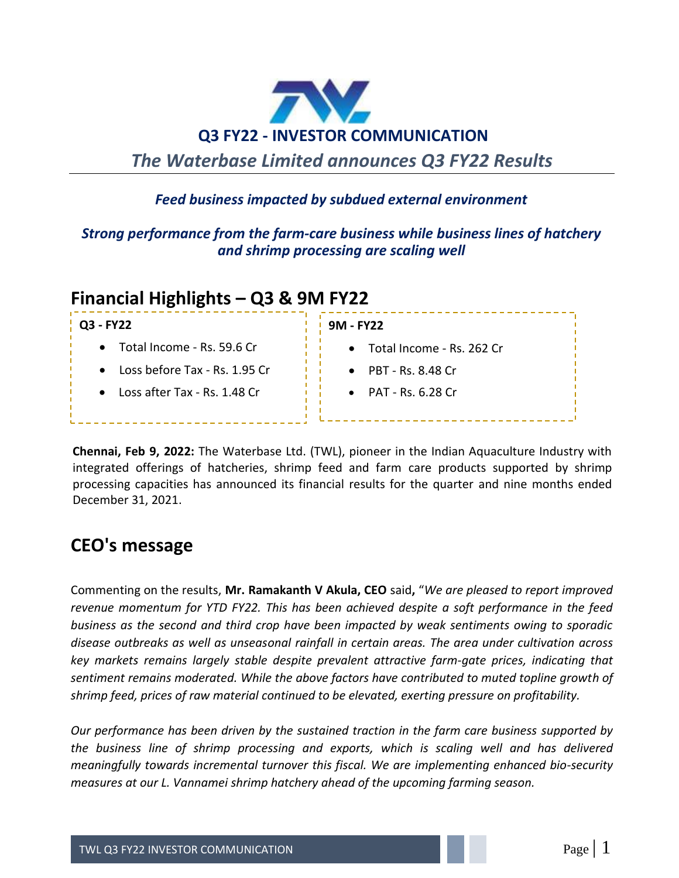

# *The Waterbase Limited announces Q3 FY22 Results*

## *Feed business impacted by subdued external environment*

## *Strong performance from the farm-care business while business lines of hatchery and shrimp processing are scaling well*

# **Financial Highlights – Q3 & 9M FY22**

| Q3 - FY22                                  | 9M - FY22                           |  |  |  |
|--------------------------------------------|-------------------------------------|--|--|--|
| Total Income - Rs. 59.6 Cr<br>$\bullet$    | $\bullet$ Total Income - Rs. 262 Cr |  |  |  |
| Loss before Tax - Rs. 1.95 Cr<br>$\bullet$ | $\bullet$ PBT - Rs. 8.48 Cr         |  |  |  |
| Loss after Tax - Rs. 1.48 Cr<br>$\bullet$  | $\bullet$ PAT - Rs. 6.28 Cr         |  |  |  |
|                                            |                                     |  |  |  |

**Chennai, Feb 9, 2022:** The Waterbase Ltd. (TWL), pioneer in the Indian Aquaculture Industry with integrated offerings of hatcheries, shrimp feed and farm care products supported by shrimp processing capacities has announced its financial results for the quarter and nine months ended December 31, 2021.

# **CEO's message**

Commenting on the results, **Mr. Ramakanth V Akula, CEO** said**,** "*We are pleased to report improved revenue momentum for YTD FY22. This has been achieved despite a soft performance in the feed business as the second and third crop have been impacted by weak sentiments owing to sporadic disease outbreaks as well as unseasonal rainfall in certain areas. The area under cultivation across key markets remains largely stable despite prevalent attractive farm-gate prices, indicating that sentiment remains moderated. While the above factors have contributed to muted topline growth of shrimp feed, prices of raw material continued to be elevated, exerting pressure on profitability.* 

*Our performance has been driven by the sustained traction in the farm care business supported by the business line of shrimp processing and exports, which is scaling well and has delivered meaningfully towards incremental turnover this fiscal. We are implementing enhanced bio-security measures at our L. Vannamei shrimp hatchery ahead of the upcoming farming season.*